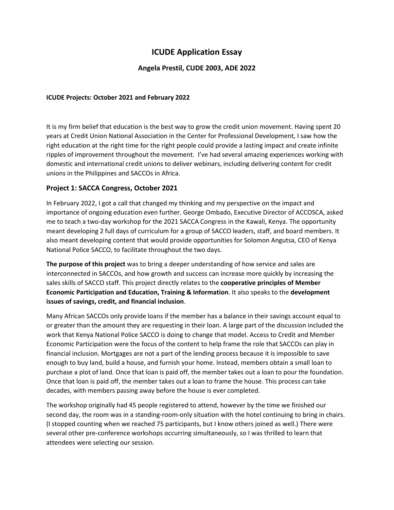# **ICUDE Application Essay**

# **Angela Prestil, CUDE 2003, ADE 2022**

#### **ICUDE Projects: October 2021 and February 2022**

It is my firm belief that education is the best way to grow the credit union movement. Having spent 20 years at Credit Union National Association in the Center for Professional Development, I saw how the right education at the right time for the right people could provide a lasting impact and create infinite ripples of improvement throughout the movement. I've had several amazing experiences working with domestic and international credit unions to deliver webinars, including delivering content for credit unions in the Philippines and SACCOs in Africa.

### **Project 1: SACCA Congress, October 2021**

In February 2022, I got a call that changed my thinking and my perspective on the impact and importance of ongoing education even further. George Ombado, Executive Director of ACCOSCA, asked me to teach a two-day workshop for the 2021 SACCA Congress in the Kawali, Kenya. The opportunity meant developing 2 full days of curriculum for a group of SACCO leaders, staff, and board members. It also meant developing content that would provide opportunities for Solomon Angutsa, CEO of Kenya National Police SACCO, to facilitate throughout the two days.

**The purpose of this project** was to bring a deeper understanding of how service and sales are interconnected in SACCOs, and how growth and success can increase more quickly by increasing the sales skills of SACCO staff. This project directly relates to the **cooperative principles of Member Economic Participation and Education, Training & Information**. It also speaks to the **development issues of savings, credit, and financial inclusion**.

Many African SACCOs only provide loans if the member has a balance in their savings account equal to or greater than the amount they are requesting in their loan. A large part of the discussion included the work that Kenya National Police SACCO is doing to change that model. Access to Credit and Member Economic Participation were the focus of the content to help frame the role that SACCOs can play in financial inclusion. Mortgages are not a part of the lending process because it is impossible to save enough to buy land, build a house, and furnish your home. Instead, members obtain a small loan to purchase a plot of land. Once that loan is paid off, the member takes out a loan to pour the foundation. Once that loan is paid off, the member takes out a loan to frame the house. This process can take decades, with members passing away before the house is ever completed.

The workshop originally had 45 people registered to attend, however by the time we finished our second day, the room was in a standing-room-only situation with the hotel continuing to bring in chairs. (I stopped counting when we reached 75 participants, but I know others joined as well.) There were several other pre-conference workshops occurring simultaneously, so I was thrilled to learn that attendees were selecting our session.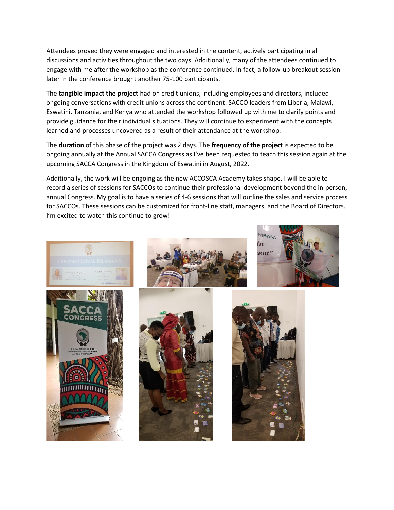Attendees proved they were engaged and interested in the content, actively participating in all discussions and activities throughout the two days. Additionally, many of the attendees continued to engage with me after the workshop as the conference continued. In fact, a follow-up breakout session later in the conference brought another 75-100 participants.

The **tangible impact the project** had on credit unions, including employees and directors, included ongoing conversations with credit unions across the continent. SACCO leaders from Liberia, Malawi, Eswatini, Tanzania, and Kenya who attended the workshop followed up with me to clarify points and provide guidance for their individual situations. They will continue to experiment with the concepts learned and processes uncovered as a result of their attendance at the workshop.

The **duration** of this phase of the project was 2 days. The **frequency of the project** is expected to be ongoing annually at the Annual SACCA Congress as I've been requested to teach this session again at the upcoming SACCA Congress in the Kingdom of Eswatini in August, 2022.

Additionally, the work will be ongoing as the new ACCOSCA Academy takes shape. I will be able to record a series of sessions for SACCOs to continue their professional development beyond the in-person, annual Congress. My goal is to have a series of 4-6 sessions that will outline the sales and service process for SACCOs. These sessions can be customized for front-line staff, managers, and the Board of Directors. I'm excited to watch this continue to grow!

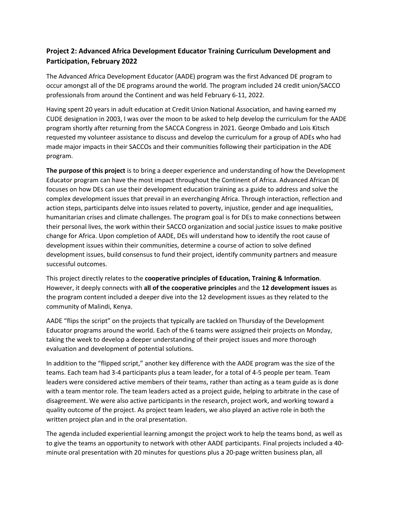# **Project 2: Advanced Africa Development Educator Training Curriculum Development and Participation, February 2022**

The Advanced Africa Development Educator (AADE) program was the first Advanced DE program to occur amongst all of the DE programs around the world. The program included 24 credit union/SACCO professionals from around the Continent and was held February 6-11, 2022.

Having spent 20 years in adult education at Credit Union National Association, and having earned my CUDE designation in 2003, I was over the moon to be asked to help develop the curriculum for the AADE program shortly after returning from the SACCA Congress in 2021. George Ombado and Lois Kitsch requested my volunteer assistance to discuss and develop the curriculum for a group of ADEs who had made major impacts in their SACCOs and their communities following their participation in the ADE program.

**The purpose of this project** is to bring a deeper experience and understanding of how the Development Educator program can have the most impact throughout the Continent of Africa. Advanced African DE focuses on how DEs can use their development education training as a guide to address and solve the complex development issues that prevail in an everchanging Africa. Through interaction, reflection and action steps, participants delve into issues related to poverty, injustice, gender and age inequalities, humanitarian crises and climate challenges. The program goal is for DEs to make connections between their personal lives, the work within their SACCO organization and social justice issues to make positive change for Africa. Upon completion of AADE, DEs will understand how to identify the root cause of development issues within their communities, determine a course of action to solve defined development issues, build consensus to fund their project, identify community partners and measure successful outcomes.

This project directly relates to the **cooperative principles of Education, Training & Information**. However, it deeply connects with **all of the cooperative principles** and the **12 development issues** as the program content included a deeper dive into the 12 development issues as they related to the community of Malindi, Kenya.

AADE "flips the script" on the projects that typically are tackled on Thursday of the Development Educator programs around the world. Each of the 6 teams were assigned their projects on Monday, taking the week to develop a deeper understanding of their project issues and more thorough evaluation and development of potential solutions.

In addition to the "flipped script," another key difference with the AADE program was the size of the teams. Each team had 3-4 participants plus a team leader, for a total of 4-5 people per team. Team leaders were considered active members of their teams, rather than acting as a team guide as is done with a team mentor role. The team leaders acted as a project guide, helping to arbitrate in the case of disagreement. We were also active participants in the research, project work, and working toward a quality outcome of the project. As project team leaders, we also played an active role in both the written project plan and in the oral presentation.

The agenda included experiential learning amongst the project work to help the teams bond, as well as to give the teams an opportunity to network with other AADE participants. Final projects included a 40 minute oral presentation with 20 minutes for questions plus a 20-page written business plan, all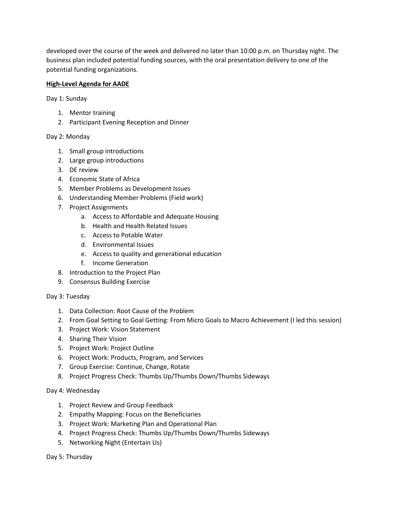developed over the course of the week and delivered no later than 10:00 p.m. on Thursday night. The business plan included potential funding sources, with the oral presentation delivery to one of the potential funding organizations.

## **High-Level Agenda for AADE**

Day 1: Sunday

- 1. Mentor training
- 2. Participant Evening Reception and Dinner

### Day 2: Monday

- 1. Small group introductions
- 2. Large group introductions
- 3. DE review
- 4. Economic State of Africa
- 5. Member Problems as Development Issues
- 6. Understanding Member Problems (Field work)
- 7. Project Assignments
	- a. Access to Affordable and Adequate Housing
	- b. Health and Health Related Issues
	- c. Access to Potable Water
	- d. Environmental Issues
	- e. Access to quality and generational education
	- f. Income Generation
- 8. Introduction to the Project Plan
- 9. Consensus Building Exercise

Day 3: Tuesday

- 1. Data Collection: Root Cause of the Problem
- 2. From Goal Setting to Goal Getting: From Micro Goals to Macro Achievement (I led this session)
- 3. Project Work: Vision Statement
- 4. Sharing Their Vision
- 5. Project Work: Project Outline
- 6. Project Work: Products, Program, and Services
- 7. Group Exercise: Continue, Change, Rotate
- 8. Project Progress Check: Thumbs Up/Thumbs Down/Thumbs Sideways

### Day 4: Wednesday

- 1. Project Review and Group Feedback
- 2. Empathy Mapping: Focus on the Beneficiaries
- 3. Project Work: Marketing Plan and Operational Plan
- 4. Project Progress Check: Thumbs Up/Thumbs Down/Thumbs Sideways
- 5. Networking Night (Entertain Us)

Day 5: Thursday